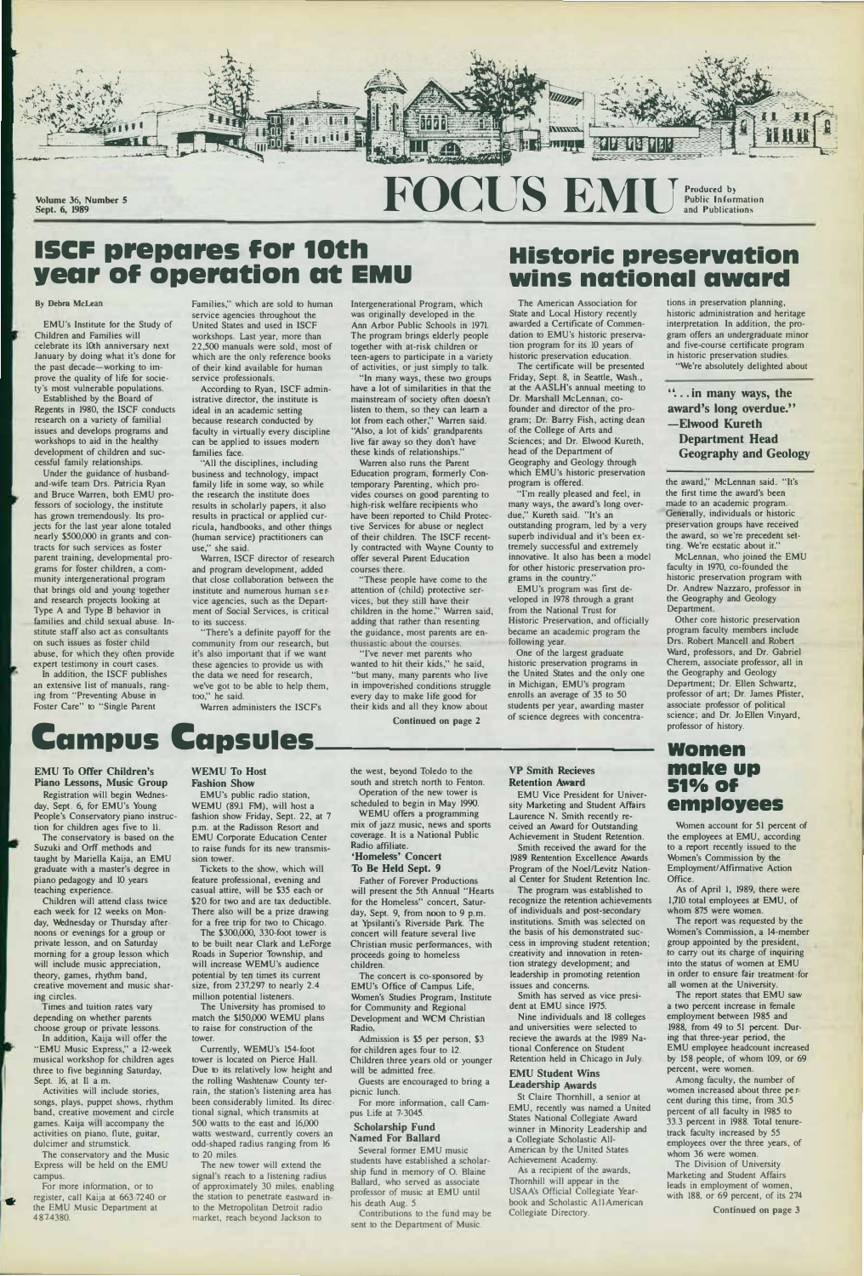

**Volume 36, Number 5** 

# **FOCUS EMU** Produced by **Produced by Produced by and Public Inform Public Information and Publications**

# **ISCF prepares for 10th year of operation at EMU**

#### **By Debra McLean**

**EMU's Institute for the Study of Children and Families will celebrate its 10th anniversary next January by doing what it's done for the past decade-working to improve the quality of life for society's most vulnerable populations.** 

**Established by the Board of Regents in 1980, the ISCF conducts research on a variety of familial issues and develops programs and workshops to aid in the healthy development of children and successful family relationships.** 

**Under the guidance of husbandand-wife team Drs. Patricia Ryan and Bruce Warren, both EMU professors of sociology, the institute has grown tremendously. Its projects for the last year alone totaled nearly \$500,000 in grants and contracts for such services as foster parent training, developmental programs for foster children, a community intergenerational program that brings old and young together and research projects looking at Type A and Type B behavior in families and child sexual abuse. Institute staff also act as consultants on such issues as foster child abuse, for which they often provide expert testimony in court cases.** 

**In addition, the ISCF publishes an extensive list of manuals, ranging from "Preventing Abuse in Foster Care" to "Single Parent** 

**Families," which are sold to human service agencies throughout the United States and used in ISCF workshops. Last year, more than 22,500 manuals were sold, most of which are the only reference books of their kind available for human service professionals.** 

**According to Ryan, ISCF administrative director, the institute is ideal in an academic setting because research conducted by faculty in virtually every discipline can be applied to issues modern families face.** 

**"All the disciplines, including business and technology, impact family life in some way, so while the research the institute does results in scholarly papers, it also results in practical or applied curricula, handbooks, and other things (human service) practitioners can use," she said.** 

**Warren, ISCF director of research and program development, added that close collaboration between the institute and numerous human service agencies, such as the Department of Social Services, is critical to its success.** 

**"There's a definite payoff for the community from our research, but it's also important that if we want these agencies to provide us with the data we need for research, we've got to be able to help them, too," he said.** 

**Warren administers the ISCF's** 

**Intergenerational Program, which was originally developed in the Ann Arbor Public Schools in 1971. The program brings elderly people together with at-risk children or teen-agers to participate in a variety of activities, or just simply to talk.** 

**"In many ways, these two groups have a lot of similarities in that the mainstream of society often doesn't listen to them, so they can learn a lot from each other," Warren said. "Also, a lot of kids' grandparents live far away so they don't have these kinds of relationships."** 

**Registration will begin Wednes- EMU"s public radio station,**  p.m. at the Radisson Resort and **EMU** Corporate Education Center to raise funds for its new transmis-

**teaching experience.** casual attire, will be \$35 each or Children will attend class twice \$20 for two and are tax deductible \$20 for two and are tax deductible.

**Warren also runs the Parent Education program, formerly Contemporary Parenting, which provides courses on good parenting to high-risk welfare recipients who have been·reported to Child Protective Services for abuse or neglect of their children. The ISCF recently contracted with Wayne County to offer several Parent Education courses there.** 

The conservatory is based on the Suzuki and Orff methods and **taught by Mariella Kaija, an EMU** sion tower.<br>**graduate with a master's degree in** Tickets to the show, which will graduate with a master's degree in **piano pedagogy and 10 years feature professional, evening and** 

**each week for 12 weeks on Mon- There also will be a prize drawing**  day, Wednesday or Thursday after-<br>noons or evenings for a group or The \$300,000, 330 foot tower is **noons or evenings for a group or private lesson, and on Saturday** morning for a group lesson which

**"These people have come to the attention of (child) protective services, but they still have their children in the home," Warren said, adding that rather than resenting the guidance, most parents are enthusiastic about the courses.** 

to be built near Clark and LeForge Roads in Superior Township, and **will include music appreciation, will increase WEMU's audience** 

**"I've never met parents who wanted to hit their kids," he said, "but many, many parents who live in impoverished conditions struggle every day to make life good for their kids and all they know about** 

theory, games, rhythm band, potential by ten times its current **creative movement and music shar- size, from 237,297 to nearly 2.4 ing circles. million potential listeners.** 

choose group or private lessons. *ito raise for construction of the* In addition, Kaija will offer the tower.<br>**EMU Music Express,**" a 12-week Currently, WEMU's 154-foot "EMU Music Express," a 12-week musical workshop for children ages tower is located on Pierce Hall.<br>
three to five beginning Saturday, Due to its relatively low height

games. Kaija will accompany the

The conservatory and the Music to 20 miles.<br> **The new tower will extend the EMU** The new tower will extend the Express will be held on the EMU campus.

 $\bullet$ .

Times and tuition rates vary The University has promised to depending on whether parents match the \$150,000 WEMU plans match the \$150,000 WEMU plans

**three to five beginning Saturday,** Due to its relatively low height and Sept. 16, at Il a.m. the rolling Washtenaw County ter-**Sept. 16, at II a.m.** the rolling Washtenaw County ter-<br>Activities will include stories, rain, the station's listening area has Activities will include stories, rain, the station's listening area has songs, plays, puppet shows, rhythm been considerably limited. Its direcsongs, plays, puppet shows, rhythm been considerably limited. Its direc-<br>band, creative movement and circle tional signal, which transmits at tional signal, which transmits at 500 watts to the east and 16,000 **activities on piano, flute, guitar,** watts westward, currently covers an dulcimer and strumstick.  $\qquad \qquad$  odd-shaped radius ranging from 16 odd-shaped radius ranging from 16

# **Historic preservation wins national award**

**The American Association for State and Local History recently awarded a Certificate of Commendation to EMU's historic preservation program for its 10 years of historic preservation education.** 

**The certificate will be presented Friday, Sept. 8, in Seattle, Wash., at the AASLH's annual meeting to Dr. Marshall McLennan, cofounder and director of the program; Dr. Barry Fish, acting dean of the College of Arts and Sciences; and Dr. Elwood Kureth, head of the Department of Geography and Geology through which EMU's historic preservation program is offered.** 

**campus.** signal's reach to a listening radius<br>
For more information, or to eapproximately 30 miles, enabling of approximately 30 miles, enabling **register, call Kaija at 663.7240 or the station to penetrate eastward in-<br>the EMU Music Department at the Metropolitan Detroit radio** to the Metropolitan Detroit radio **487-4380. market, reach beyond Jackson to** 

**'Tm really pleased and feel, in many ways, the award's long overdue," Kureth said. "It's an outstanding program, led by a very superb individual and it's been extremely successful and extremely innovative. It also has been a model for other historic preservation programs in the country."** 

**EMU's program was first developed in 1978 through a grant from the National Trust for Historic Preservation, and officially became an academic program the following year.** 

**One of the largest graduate historic preservation programs in the United States and the only one in Michigan, EMU's program enrolls an average of 35 lo 50 students per year, awarding master of science degrees with concentra-** **tions in preservation planning, historic administration and heritage interpretation. In addition, the program offers an undergraduate minor and five-course certificate program in historic preser vation studies. "We're absolutely delighted about** 

### **" ... in many ways, the award's long overdue." -Elwood Kureth Department Head Geography and Geology**

**the award," McLennan said. "It's the first time the award's been made to an academic program. Generally, individuals or historic preservation groups have received the award, so we're precedent setting. We're ecstatic about it."** 

**McLennan, who joined the EMU faculty in 1970, co-founded the historic preservation program with Dr. Andrew Nazzaro, professor in the Geography and Geology Department.** 

# **Continued on page 2 Campus Capsules \_\_\_\_\_\_\_\_ \_**

**Other core historic preservation program faculty members include Drs. Robert Mancell and Robert Ward, professors, and Dr. Gabriel Cherem, associate professor, all in the Geography and Geology Department; Dr. Ellen Schwartz, professor of art; Dr. James Pfister, associate professor of political science; and Dr. JoEllen Vinyard, professor of history.** 

## **women**  make up **510/o Of employees**

## **EMU To Offer Children's WEMU To Host Piano Lessons, Music Group Fashion Show**

day, Sept. 6, for EMU's Young **People's Conservatory piano instruc- fashion show Friday, Sept. 22, at 7 tion for children ages five to 11. p.m. at the Radisson Resort and**  **the west, beyond Toledo lo the south and stretch north to Fenton. Operation of the new tower is scheduled to begin in May 1990.** 

**WEMU offers a programming mix of jazz music, news and sports coverage. It is a National Public Radio affiliate. 'Homeless' Concert** 

### **To Be Held Sept. 9**

**Father of Forever Productions will present the 5th Annual "Hearts for the Homeless" concert, Saturday, Sept. 9, from noon to 9 p.m. at Ypsilanti's Riverside Park. The concert will feature several live Christian music performances, with proceeds going to homeless** 

#### **children.**

**The concert is co-sponsored by EMU's Office of Campus Life, Women's Studies Program, Institute for Community and Regional Development and WCM Christian Radio.** 

**Admission is \$5 per person, \$3 for children ages four to 12. Children three years old or younger will be admitted free.** 

**Guests are encouraged to bring a picnic lunch.** 

**For more information, call Campus Life at 7-3045.** 

#### **Scholarship Fund Named For Ballard**

**Several former EMU music students have established a scholarship fund in memory of 0. Blaine Ballard, who served as associate professor of music at EMU until his death Aug.** *5.* 

**Contributions to the fund may be sent to the Department of Music.** 

#### **VP Smith Recieves Retention Award**

**EMU Vice President for University Marketing and Student Affairs Laurence N. Smith recently received an Award for Outstanding Achievement in Student Retention.** 

**Smith received the award for the 1989 Rentention Excellence Awards Program of the Noel/Levitz National Center for Student Retention Inc.** 

**The program was established to recognize the retention achievements of individuals and post-secondary institutions. Smith was selected on the basis of his demonstrated suecess in improving student retention; creativity and innovation in reten-**

**tion strategy development; and leadership in promoting retention issues and concerns.** 

**Smith has served as vice president at EMU since 1975.** 

**Nine individuals and 18 colleges and universities were selected to recieve the awards at the 1989 National Conference on Student Retention held in Chicago in July.** 

#### **EMU Student Wins Leadership Awards**

**St Claire Thornhill, a senior at EMU, recently was named a United States National Collegiate Award winner in Minority Leadership and a Collegiate Scholastic All-American by the United States Achievement Academy.** 

**As a recipient of the awards, Thornhill will appear in the USAA's Official Collegiate Yearbook and Scholastic All-American Collegiate Directory.** 

**Women account for 51 percent of the employees at EMU, according to a report recently issued to the Women's Commission by the Employment/ Affirmative Action Office.** 

**As of April I, 1989, there were 1,710 total employees at EMU, of whom 875 were women.** 

**The report was requested by the Women's Commission, a 14-member group appointed by the president, to carry out its charge of inquiring** 

**into the status of women at EMU in order to ensure fair treatment for all women at the University.** 

**The report states that EMU saw a two percent increase in female employment between 1985 and 1988, from 49 to 51 percent. During that three-year period, the EMU employee headcount increased by 158 people, of whom 109, or 69 percent, were women.** 

**Among faculty, the number of women increased about three percent during this time, from 30.5 percent of all faculty in 1985 to 33.3 percent in 1988. Total tenuretrack faculty increased by** *55*  **employees over the three years, of whom 36 were women.** 

**The Division of University Marketing and Student Affairs leads in employment of women, with 188, or 69 percent, of its 274** 

**Continued on page 3**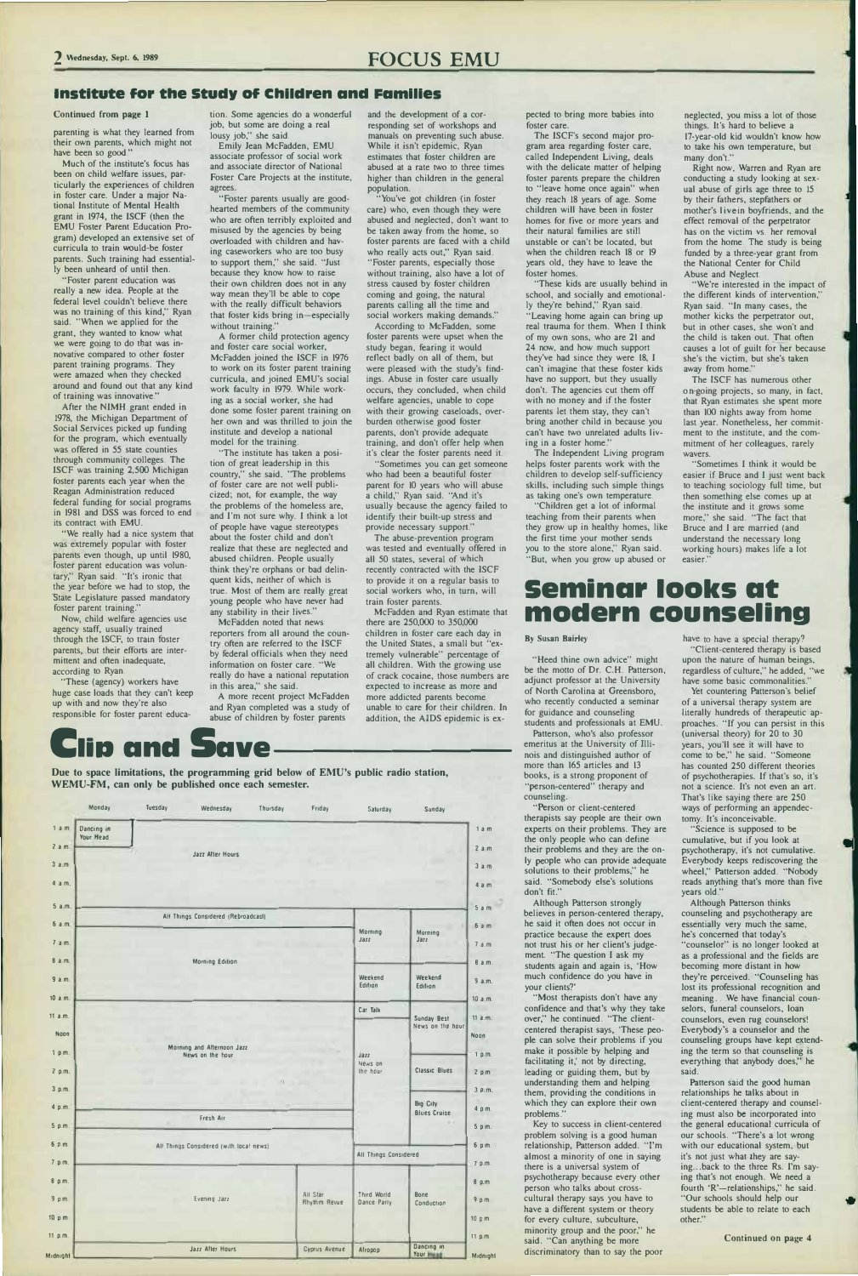# **2** \\'ednesday, Sept. 6, 1989 **FOCUS EMU**

#### **Institute for the Study of Children and Families**

#### Continued from **page** 1

parenting is what they learned from their own parents, which might not have been so good."

Much of the institute's focus has been on child welfare issues, particularly the experiences of children in foster care. Under a major National Institute of Mental Health grant in 1974, the ISCF (then the EMU Foster Parent Education Program) developed an extensive set of curricula to train would-be foster parents. Such training had essentially been unheard of until then.

"Foster parent education was really a new idea. People at the federal level couldn't believe there was no training of this kind," Ryan said. "When we applied for the grant, they wanted to know what we were going to do that was innovative compared to other foster parent training programs. They were amazed when they checked around and found out that any kind of training was innovative."

"We really had a nice system that was extremely popular with foster parents even though, up until 1980, foster parent education was voluntary," Ryan said. "It's ironic that the year before we had to stop, the State Legislature passed mandatory foster parent training."

"These (agency) workers have huge case loads that they can't keep up with and now they're also responsible for foster parent educa-

"Foster parents usually are goodhearted members of the community who are often terribly exploited and misused **by** the agencies by being overloaded with children and having caseworkers who are too busy to support them," she said. "Just because they know how to raise their own children does not in any way mean they'll be able to cope with the really difficult behaviors that foster kids bring in-especially without training."

After the NIMH grant ended in 1978, the Michigan Department of Social Services picked up funding for the program, which eventually was offered in *55* state counties through community colleges. The ISCF was training 2,500 Michigan foster parents each year when the Reagan Administration reduced federal funding for social programs in 1981 and DSS was forced to end its contract with EMU.

Now, child welfare agencies use agency staff, usually trained through the ISCF, to train foster parents, but their efforts are intermittent and often inadequate, according to Ryan.

tion. Some agencies do a wonderful job, but some are doing a real lousy job," she said.

Emily Jean McFadden, EMU associate professor of social work and associate director of National Foster Care Projects at the institute, agrees.

A former child protection agency and foster care social worker, McFadden joined the ISCF in 1976 to work on its foster parent training curricula, and joined EMU's social work faculty in 1979. While working as a social worker, she had done some foster parent training on her own and was thrilled to join the institute and develop a national model for the training.

### **lip and Due to space limitations, the programming grid below of EMU's public radio station, Save------**

**WEMU-FM, can only be published once each semester.**  Monday Tuesday Wednesday Thursday Friday Salurday Sunday

"The institute has taken a position of great leadership in this country," she said. "The problems of foster care are not well publicized; not, for example, the way the problems of the homeless are, and I'm not sure why. I think a lot of people have vague stereotype<sup>s</sup> about the foster child and don't realize that these are neglected and abused children. People usually think they're orphans or bad delinquent kids, neither of which is true. Most of them are really great young people who have never had any stability in their lives."

pected to bring more babies into foster care.

McFadden noted that news reporters from all around the country often are referred to the ISCF by federal officials when they need information on foster care. "We really do have a national reputation in this area," she said.

A more recent project McFadden and Ryan completed was a study of abuse of children by foster parents

and the development of a corresponding set of workshops and manuals on preventing such abuse. While it isn't epidemic, Ryan estimates that foster children are abused at a rate two to three times higher than children in the general population.

"You've got children (in foster care) who, even though they were abused and neglected, don't want to be taken away from the home, so foster parents are faced with a child who really acts out," Ryan said. "Foster parents, especially those without training, also have a lot of stress caused by foster children coming and going, the natural parents calling all the time and social workers making demands."

"We're interested in the impact of the different kinds of intervention," Ryan said. "In many cases, the mother kicks the perpetrator out, but in other cases, she won't and the child is taken out. That often causes a lot of guilt for her because she's the victim, but she's taken away from home."

"Sometimes I think it would be easier if Bruce and I just went back to teaching sociology full time, but then something else comes up at the institute and it grows some more," she said. "The fact that Bruce and I are married (and understand the necessary long working hours) makes life a lot easier."

According to McFadden, some foster parents were upset when the study began, fearing it would reflect badly on all of them, but were pleased with the study's findings. Abuse in foster care usually occurs, they concluded, when child welfare agencies, unable to cope with their growing caseloads, overburden otherwise good foster parents, don't provide adequate training, and don't offer help when it's clear the foster parents need it.

> "Heed thine own advice" might be the motto of Dr. C.H. Patterson, adjunct professor at the University of North Carolina at Greensboro, who recently conducted a seminar for guidance and counseling

"Sometimes you can get someone who had been **a** beautiful foster parent for 10 years who will abuse a child," Ryan said. "And it's usually because the agency failed to identify their built-up stress and provide necessary support."

The abuse-prevention program was tested and eventually offered in all 50 states, several of which recently contracted with the ISCF to provide it on a regular basis to social workers who, in turn, will train foster parents.

McFadden and Ryan estimate that there are 250,000 to 350,000 children in foster care each day in the United States, a small but "extremely vulnerable" percentage of all children. With the growing use of crack cocaine, those numbers are expected to increase as more and more addicted parents become unable to care for their children. In addition, the AIDS epidemic is ex-

> Although Patterson strongly believes in person-centered therapy, he said it often does not occur in practice because the expert does not trust his or her client's judgement. "The question I ask my students again and again is, 'How much confidence do you have in your clients?' "Most therapists don't have any confidence and that's why they take over," he continued. "The clientcentered therapist says, 'These people can solve their problems if you make it possible by helping and facilitating it,' not **by** directing, leading or guiding them, but by understanding them and helping them, providing the conditions in which they can explore their own problems." Key to success in client-centered problem solving is a good human relationship, Patterson added. "I'm almost a minority of one in saying there is a universal system of psychotherapy because every other person who talks about crosscultural therapy says you have to have a different system or theory for every culture, subculture, minority group and the poor," he said. "Can anything be more discriminatory than to say the poor

Yet countering Patterson's belief of a universal therapy system are literally hundreds of therapeutic approaches. "If you can persist in this (universal theory) for 20 to 30 years, you'll see it will have to come to be," he said. "Someone has counted 250 different theories of psychotherapies. If that's so, it's not a science. It's not even an art. That's like saying there are 250 ways of performing an appendectomy. It's inconceivable.

| Dancing in<br>Your Mead |                                     |         |         |
|-------------------------|-------------------------------------|---------|---------|
|                         | Jazz After Hours                    |         |         |
|                         |                                     |         |         |
|                         |                                     |         | -       |
|                         |                                     |         |         |
|                         |                                     |         |         |
|                         |                                     |         |         |
|                         | All Things Considered (Rebroadcast) | Morning | Morning |

| 8a.m.           | Morning Edition                                |                          |                            |                                        | 8a.m.    |
|-----------------|------------------------------------------------|--------------------------|----------------------------|----------------------------------------|----------|
| 9a.m.           |                                                |                          | Weekend<br>Edilion         | Weekend<br>Edition                     | 9a.m.    |
| 10 a.m.         |                                                |                          | Car Talk                   |                                        | 10a.m.   |
| 11 a.m.         |                                                |                          |                            | Sunday Best<br>News on the hour        | 11 a.m.  |
| Noon            |                                                |                          |                            |                                        | Noon     |
| $1$ pm.         | Morning and Afternoon Jazz<br>News on the hour |                          | Jazz                       |                                        | 1 p.m.   |
| 2 p.m.          |                                                |                          | News on<br>The hour        | <b>Classic Blues</b>                   | $2$ pm   |
| 3 p.m.          |                                                | 生                        |                            |                                        | 3.9. m.  |
| 4 p.m.          |                                                |                          |                            | <b>Big City</b><br><b>Blues Cruise</b> | 4 pm.    |
| 5 p.m.          | Fresh Air                                      |                          |                            |                                        | 5 pm.    |
| $6p$ m          | All Things Considered (with local news)        |                          |                            | $6$ pm.                                |          |
| 7 pm.           |                                                | All Things Considered    |                            | 7 p.m.                                 |          |
| 8 р т.          |                                                |                          |                            |                                        | 8 p.m    |
| $9p$ m          | Evening Jazz                                   | All Star<br>Rhythm Revue | Third World<br>Dance Parly | <b>Bone</b><br>Conduction              | 9pm      |
| 10 p m          |                                                |                          |                            |                                        | 10 p m   |
| 11 $p_{1}m_{2}$ |                                                |                          |                            |                                        | 11 p.m   |
| Midnight.       | Jazz After Hours                               | Cyprus Avenue            | Afropop                    | Dancing in<br>Your <b>Mean</b>         | Midnight |

Although Patterson thinks counseling and psychotherapy are essentially very much the same, he's concerned that today's "counselor" is no longer looked at as a professional and the fields are becoming more distant in how they're perceived. "Counseling has lost its professional recognition and meaning . . . We have financial counselors, funeral counselors, loan counselors, even rug counselors! Everybody's a counselor and the counseling groups have kept extending the term so that counseling is everything that anybody does," he said. Patterson said the good human relationships he talks about in client-centered therapy and counseling must also be incorporated into the general educational curricula of our schools. "There's a lot wrong with our educational system, but it's not just what-they are saying .. . back to the three **Rs.** I'm saying that's not enough. We need a fourth 'R'-relationships," he said. "Our schools should help our students be able to relate to each other."

The ISCF's second major program area regarding foster care, called Independent Living, deals with the delicate matter of helping foster parents prepare the children to "leave home once again" when they reach 18 years of age. Some children will have been in foster homes for five or more years and their natural families are still unstable or can't be located, but when the children reach 18 or 19 years old, they have to leave the foster homes.

"These kids are usually behind in school, and socially and emotionally they're behind," Ryan said. "Leaving home again can bring up real trauma for them. When I think of my own sons, who are 21 and 24 now, and how much support they've had since they were 18, I can't imagine that these foster kids have no support, but they usually don't. The agencies cut them off with no money and if the foster parents let them stay, they can't bring another child in because you can't have two unrelated adults living in a foster home."

The Independent Living program helps foster parents work with the children to develop self-sufficiency skills, including such simple things as taking one's own temperature.

"Children get a lot of informal teaching from their parents when they grow up in healthy homes, like the first time your mother sends you to the store alone," Ryan said. "But, when you grow up abused or

neglected, you miss a lot of those things. It's hard to believe a 17-year-old kid wouldn't know how to take his own temperature, but many don't."

Right now, Warren and Ryan are conducting a study looking at sexual abuse of girls age three to 15 by their fathers, stepfathers or mother's live in boyfriends, and the effect removal of the perpetrator has on the victim vs. her removal from the home. The study is being funded by a three-year grant from the National Center for Child Abuse and Neglect.

EI.

The ISCF has numerous other on-going projects, so many, in fact, that Ryan estimates she spent more than 100 nights away from home last year. Nonetheless, her commitment to the institute, and the commitment of her colleagues, rarely wavers.

# **seminar looks at modern counseling**

#### **By** Susan **Bairley**

students and professionals at EMU. Patterson, who's also professor emeritus at the University of lllinois and distinguished author of more than 165 articles and 13 books, is a strong proponent of "person-centered" therapy and counseling.

"Person or client-centered therapists say people are their own experts on their problems. They are the only people who can define their problems and they are the only people who can provide adequate solutions to their problems," he said. "Somebody else's solutions don't fit."

have to have a special therapy? "Client-centered therapy is based upon the nature of human beings, regardless of culture," he added, "we have some basic commonalities."

"Science is supposed to be cumulative, but if you look at psychotherapy, it's not cumulative. Everybody keeps rediscovering the wheel," Patterson added. "Nobody reads anything that's more than five years old."

Continued on **page** 4

•

•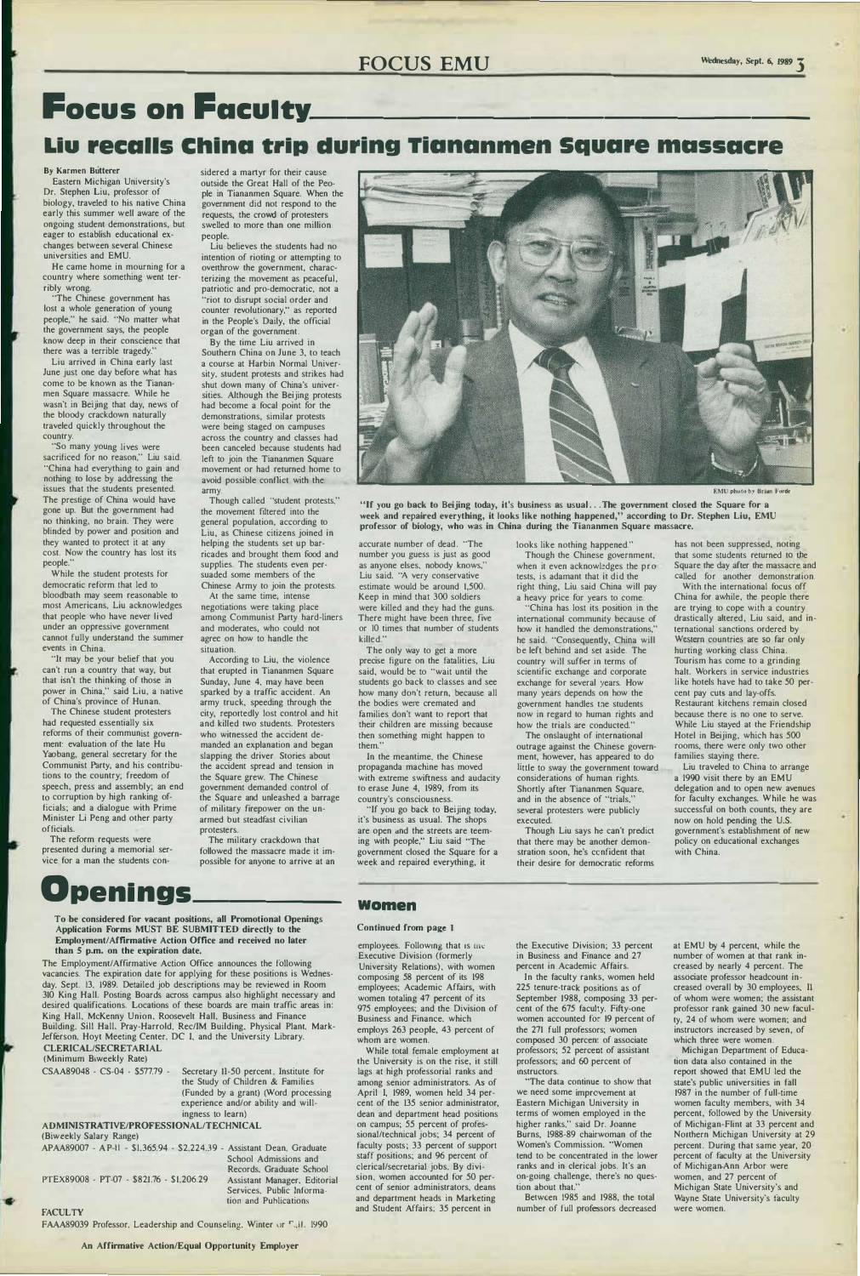# **FOCUS EMU** Wednesday, Sept. 6, 1989 **3**

# **Focus on Faculty.**

# Liu recalls China trip during Tiananmen Square massacre

#### **By Karmen Butterer**

**Eastern Michigan University's Dr. Stephen Liu, professor of biology, traveled to his native China early this summer well aware of the ongoing student demonstrations, but eager to establish educational exchanges between several Chinese universities and EMU.** 

**He came home in mourning for a country where something went terribly wrong.** 

**"The Chinese government has lost a whole generation of young people," he said. "No matter what the government says, the people know deep in their conscience that there was a terrible tragedy."** 

**Liu arrived in China early last June just one day before what has come to be known as the Tiananmen Square massacre. While he wasn't in Beijing that day, news of the bloody crackdown naturally traveled quickly throughout the country.** 

**"So many young lives were sacrificed for no reason," Liu said. "China had everything to gain and nothing to lose by addressing the issues that the students presented. The prestige of China would have gone up. But the government had no thinking, no brain. They were blinded by power and position and they wanted to protect it at any cost. Now the country has lost its people."** 

**While the student protests for democratic reform that led to bloodbath may seem reasonable to most Americans, Liu acknowledges that people who have never lived under an oppressive government cannot fully understand the summer events in China.** 

**"It may be your belief that you can't run a country that way, but that isn't the thinking of those in power in China," said Liu, a native of China's province of Hunan.** 

**The Chinese student protesters had requested essentially six reforms of their communist government: evaluation of the late Hu Yaobang, general secretary for the**  Communist Party, and his contribu**tions to the country; freedom of speech, press and assembly; an end to corruption by high ranking officials; and a dialogue with Prime Minister Li Peng and other party officials.** 

**The reform requests were presented during a memorial service for a man the students con-** **sidered a martyr for their cause outside the Great Hall of the People in Tiananmen Square. When the government did not respond to the requests, the crowd of protesters swelled to more than one million people.** 

**Liu believes the students had no intention of rioting or attempting to overthrow the government, characterizing the movement as peaceful, patriotic and pro-democratic, not a "riot to disrupt social order and counter revolutionary," as reported in the People's Daily, the official organ of the government.** 

**By the time Liu arrived in Southern China on June 3, to teach a course at Harbin Normal University, student protests and strikes had shut down many of China's universities. Although the Beijing protests had become a focal point for the demonstrations, similar protests were being staged on campuses across the country and classes had been canceled because students had left to join the Tiananmen Square movement or had returned home to avoid possible conflict with the. army.** 

**Though called "student protests," the movement filtered into the general population, according to Liu, as Chinese citizens joined in helping the students set up barricades and brought them food and**  supplies. The students even per**suaded some members of the Chinese Army to join the protests.** 

**At the same time, intense negotiations were taking place**  among Communist Party hard-liners **and moderates, who could not agree on how to handle the situation.** 

**According to Liu, the violence that erupted in Tiananmen Square Sunday, June 4, may have been sparked by a traffic accident. An army truck, speeding through the city, reportedly lost control and hit and killed two students. Protesters who witnessed the accident demanded an explanation and began slapping the driver. Stories about the accident spread and tension in the Square grew. The Chinese government demanded control of the Square and unleashed a barrage of military firepower on the unarmed but steadfast civilian protesters.** 

**The military crackdown that followed the massacre made it impossible for anyone to arrive at an** 

**Openings \_\_\_ \_** 

**To be considered for vacant positions, all Promotional Openings Application Forms MUST BE SUBMITTED directly to the Employment/Affirmative Action Office and received no later than 5 p.m. on the expiration date.** 

**The Employment/Affirmative Action Office announces the following vacancies. The expiration date for applying for these positions is Wednesday. Sept. 13, 1989. Detailed job descriptions may be reviewed in Room 310 King Hall. Posting Boards across campus also highlight necessary and desired qualifications. Locations of these boards are main traffic areas in: King Hall. McKenny Union. Roosevelt Hall. Business and Finance Building. Sill Hall, Pray-Harrold, Rec/IM Building, Physical Plant. Mark-Jefferson. Hoyt Meeting Center. DC I. and the University Library. CLERICAL/SECRETARIAL** 

> Between 1985 and 1988, the total **number of full professors decreased**

**(Minimum Biweekly Rate)** 

**CSAA89048 - CS-04 - \$577.79 - Secretary 11-50 percent. Institute for the Study of Children & Families (Funded by a grant) (Word processing experience and/or ability and willingness to learn)** 

#### **ADMINISTRATIVE/PROFESSIONAL/TECHNICAL**

**(Biweekly Salary Range)** 

**APAA89007 - AP-II - \$1.365.94 - \$2.224.39 - Assistant Dean. Graduate PTEX89008 - PT-07 - \$821.76 - \$1.206.29 School Admissions and Records. Graduate School Services. Public Informa-**

#### **FACULTY**

**FAAA89039 Professor. Leadership and Counseling. Winter or F.il. 1990** 

**Assistant Manager. Editorial tion and Publications** 

**An Affirmative Action/Equal Opportunity Employer** 



**EMU photo by Brian Forde** 

**"If you go back to Beijing today, it's business as usual . .. The government closed the Square for a week and repaired everything, it looks like nothing happened," according to Dr. Stephen Liu, EMU professor of biology, who was in China during the Tiananmen Square massacre.** 

**accurate number of dead. "The number you guess is just as good as anyone elses, nobody knows," Liu said. "A very conservative estimate would be around 1,500. Keep in mind that 300 soldiers were killed and they had the guns. There might have been three, five or 10 times that number of students killed."** 

**The only way to get a more precise figure on the fatalities, Liu said, would be to "wait until the students go back to classes and see how many don't return, because all the bodies were cremated and families don't want to report that their children are missing because then something might happen to them."** 

**In the meantime, the Chinese propaganda machine has moved with extreme swiftness and audacity to erase June 4, 1989, from its country's consciousness.** 

**"If you go back to Beijing today, it's business as usual. The shops are open and the streets are teeming with people," Liu said "The government closed the Square for a week and repaired everything, it** 

#### **women**

#### **Continued from page 1**

**employees.** Following that is the

**Executive Division (formerly University Relations). with women composing 58 percent of its 198 employees; Academic Affairs, with women totaling 47 percent of its 975 employees; and the Division of Business and Finance. which employs 263 people, 43 percent of whom are women.** 

**While total female employment at the University is on the rise, it still**  lags at high professorial ranks and **among senior administrators. As of April I, 1989, women held 34 percent of the 135 senior administrator, dean and department head positions on campus; 55 percent of professional/technical jobs; 34 percent of faculty posts; 33 percent of support staff positions; and 96 percent of clerical/secretarial jobs. By division, women accounted for 50 percent of senior administrators, deans and department heads in Marketing and Student Affairs; 35 percent in** 

**looks like nothing happened."** 

**Though the Chinese government,**  when it even acknowledges the pro**tests, is adamant that it did the right thing, Liu said China will pay a heavy price for years to come.** 

**"China has lost its position in the international community because of how it handled the demonstrations," he said. "Consequently, China will be left behind and sel aside. The country will suffer in terms of scientific exchange and corporate exchange for several years. How many years depends on how the government handles tne students now in regard to human rights and how the trials are conducted."** 

**The onslaught of international outrage against the Chinese government, however, has appeared to do little to sway the government toward considerations of human rights. Shortly after Tiananmen Square, and in the absence of "trials," several protesters were publicly executed.** 

**Though Liu says he can't predict that there may be another demon**stration soon, he's confident that **their desire for democratic reforms** 

**the Executive Division; 33 percent in Business and Finance and 27** 

**percent in Academic Affairs.** 

**In the faculty ranks, women held 225 tenure-track positions as of September 1988, composing 33 percent of the 675 faculty. Fifty-one women accounted for 19 percent of the 271 full professors; women composed 30 percen: of associate professors; 52 percent of assistant professors; and 60 percent of instructors.** 

**"The data continue to show that**  we need some improvement at **Eastern Michigan University in terms of women employed in the higher ranks," said Dr. Joanne Burns, 1988-89 chairwoman of the Women's Commission. "Women tend to be concentrated in the lower ranks and in clerical jobs. It's an on-going challenge, there's no question about that."** 

**has not been suppressed, noting that some students returned to tbe Square the day after the massacre and called for another demonstration.** 

**With the international focus off China for awhile, the people there are trying to cope with a country drastically altered, Liu said, and international sanctions ordered by Western countries are so far only hurting working class China. Tourism has come to a grinding halt. Workers in service industries like hotels have had to take 50 percent pay cuts and lay-offs. Restaurant kitchens remain closed because there is no one to serve. While Liu stayed at the Friendship Hotel in Beijing, which has 500 rooms, there were only two other families staying there.** 

**Liu traveled to China to arrange a 1990 visit there by an EMU delegation and to open new avenues for faculty exchanges. While he was successful on both counts, they are now on hold pending the U.S. government's establishment of new policy on educational exchanges with China.** 

**at EMU by 4 percent, while the number of women at that rank increased by nearly 4 percent. The associate professor headcount increased overall by 30 employees, II of whom were women; the assistant professor rank gained 30 new facully, 24 of whom were women; and instructors increased by seven, of which three were women. Michigan Department of Education data also contained in the report showed that EMU led the state's public universities in fall 1987 in the number of full-time women faculty members, with 34 percent, followed by the University of Michigan-Flint at 33 percent and Northern Michigan University at 29 percent. During that same year, 20 percent of faculty at the University of Michigan-Ann Arbor were women, and 27 percent of Michigan State University's and Wayne State University's faculty were women.**